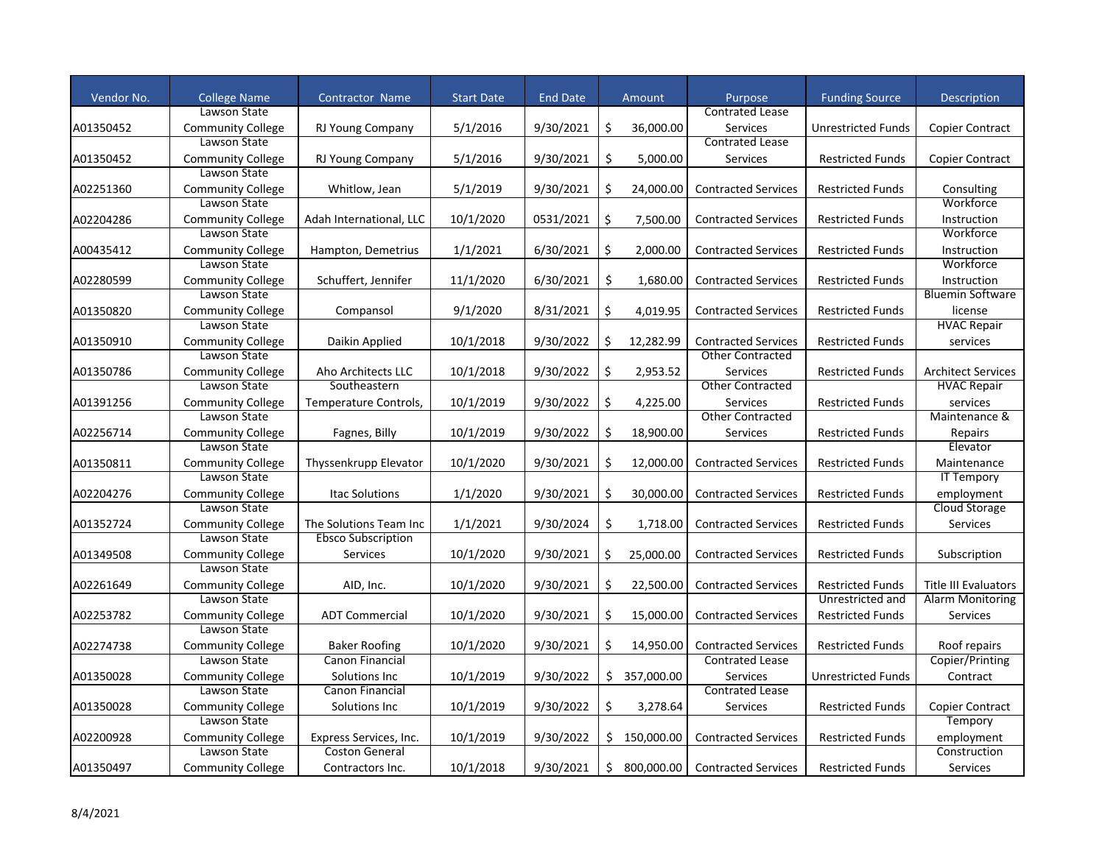| Vendor No. | <b>College Name</b>                      | Contractor Name                         | <b>Start Date</b> | <b>End Date</b> |     | Amount       | Purpose                    | <b>Funding Source</b>     | Description                     |
|------------|------------------------------------------|-----------------------------------------|-------------------|-----------------|-----|--------------|----------------------------|---------------------------|---------------------------------|
|            | Lawson State                             |                                         |                   |                 |     |              | <b>Contrated Lease</b>     |                           |                                 |
| A01350452  | <b>Community College</b>                 | RJ Young Company                        | 5/1/2016          | 9/30/2021       | Ŝ.  | 36,000.00    | <b>Services</b>            | Unrestricted Funds        | <b>Copier Contract</b>          |
|            | Lawson State                             |                                         |                   |                 |     |              | <b>Contrated Lease</b>     |                           |                                 |
|            | <b>Community College</b>                 | <b>RJ Young Company</b>                 | 5/1/2016          | 9/30/2021       | \$  | 5,000.00     | Services                   | <b>Restricted Funds</b>   |                                 |
| A01350452  | Lawson State                             |                                         |                   |                 |     |              |                            |                           | Copier Contract                 |
|            |                                          |                                         |                   |                 |     |              |                            |                           |                                 |
| A02251360  | <b>Community College</b><br>Lawson State | Whitlow, Jean                           | 5/1/2019          | 9/30/2021       | \$  | 24,000.00    | <b>Contracted Services</b> | <b>Restricted Funds</b>   | Consulting<br>Workforce         |
|            |                                          |                                         |                   |                 |     |              |                            |                           |                                 |
| A02204286  | <b>Community College</b>                 | Adah International, LLC                 | 10/1/2020         | 0531/2021       | \$  | 7,500.00     | <b>Contracted Services</b> | <b>Restricted Funds</b>   | Instruction                     |
|            | Lawson State                             |                                         |                   |                 |     |              |                            |                           | Workforce                       |
| A00435412  | <b>Community College</b>                 | Hampton, Demetrius                      | 1/1/2021          | 6/30/2021       | Ś.  | 2.000.00     | <b>Contracted Services</b> | <b>Restricted Funds</b>   | Instruction                     |
|            | Lawson State                             |                                         |                   |                 |     |              |                            |                           | Workforce                       |
| A02280599  | <b>Community College</b>                 | Schuffert, Jennifer                     | 11/1/2020         | 6/30/2021       | \$  | 1,680.00     | <b>Contracted Services</b> | <b>Restricted Funds</b>   | Instruction                     |
|            | Lawson State                             |                                         |                   |                 |     |              |                            |                           | <b>Bluemin Software</b>         |
| A01350820  | <b>Community College</b>                 | Compansol                               | 9/1/2020          | 8/31/2021       | \$  | 4,019.95     | <b>Contracted Services</b> | <b>Restricted Funds</b>   | license                         |
|            | Lawson State                             |                                         |                   |                 |     |              |                            |                           | <b>HVAC Repair</b>              |
| A01350910  | <b>Community College</b>                 | Daikin Applied                          | 10/1/2018         | 9/30/2022       | Ś.  | 12,282.99    | <b>Contracted Services</b> | <b>Restricted Funds</b>   | services                        |
|            | Lawson State                             |                                         |                   |                 |     |              | <b>Other Contracted</b>    |                           |                                 |
| A01350786  | <b>Community College</b>                 | Aho Architects LLC                      | 10/1/2018         | 9/30/2022       | Ś.  | 2,953.52     | <b>Services</b>            | <b>Restricted Funds</b>   | <b>Architect Services</b>       |
|            | Lawson State                             | Southeastern                            |                   |                 |     |              | Other Contracted           |                           | <b>HVAC Repair</b>              |
| A01391256  | <b>Community College</b>                 | Temperature Controls,                   | 10/1/2019         | 9/30/2022       | \$  | 4,225.00     | Services                   | <b>Restricted Funds</b>   | services                        |
|            | Lawson State                             |                                         |                   |                 |     |              | <b>Other Contracted</b>    |                           | Maintenance &                   |
| A02256714  | <b>Community College</b>                 | Fagnes, Billy                           | 10/1/2019         | 9/30/2022       | \$  | 18,900.00    | Services                   | <b>Restricted Funds</b>   | Repairs                         |
|            | Lawson State                             |                                         |                   |                 |     |              |                            |                           | Elevator                        |
| A01350811  | <b>Community College</b>                 | Thyssenkrupp Elevator                   | 10/1/2020         | 9/30/2021       | Ś.  | 12,000.00    | <b>Contracted Services</b> | <b>Restricted Funds</b>   | Maintenance                     |
|            | Lawson State                             |                                         |                   |                 |     |              |                            |                           | <b>IT Tempory</b>               |
| A02204276  | <b>Community College</b>                 | <b>Itac Solutions</b>                   | 1/1/2020          | 9/30/2021       | Ś.  | 30.000.00    | <b>Contracted Services</b> | <b>Restricted Funds</b>   | employment                      |
|            | Lawson State                             |                                         |                   |                 |     |              |                            |                           | Cloud Storage                   |
| A01352724  | <b>Community College</b>                 | The Solutions Team Inc                  | 1/1/2021          | 9/30/2024       | \$  | 1,718.00     | <b>Contracted Services</b> | <b>Restricted Funds</b>   | Services                        |
|            | Lawson State                             | <b>Ebsco Subscription</b>               |                   |                 |     |              |                            |                           |                                 |
| A01349508  | <b>Community College</b>                 | Services                                | 10/1/2020         | 9/30/2021       | \$  | 25,000.00    | <b>Contracted Services</b> | <b>Restricted Funds</b>   | Subscription                    |
|            | Lawson State                             |                                         |                   |                 |     |              |                            |                           |                                 |
| A02261649  | <b>Community College</b>                 | AID, Inc.                               | 10/1/2020         | 9/30/2021       | Ś.  | 22,500.00    | <b>Contracted Services</b> | <b>Restricted Funds</b>   | <b>Title III Evaluators</b>     |
|            | Lawson State                             |                                         |                   |                 |     |              |                            | Unrestricted and          | <b>Alarm Monitoring</b>         |
| A02253782  | <b>Community College</b>                 | <b>ADT Commercial</b>                   | 10/1/2020         | 9/30/2021       | Ŝ.  | 15,000.00    | <b>Contracted Services</b> | <b>Restricted Funds</b>   | <b>Services</b>                 |
|            | Lawson State                             |                                         |                   |                 |     |              |                            |                           |                                 |
|            |                                          |                                         |                   |                 |     |              | <b>Contracted Services</b> |                           |                                 |
| A02274738  | <b>Community College</b><br>Lawson State | <b>Baker Roofing</b><br>Canon Financial | 10/1/2020         | 9/30/2021       | \$  | 14,950.00    | <b>Contrated Lease</b>     | <b>Restricted Funds</b>   | Roof repairs<br>Copier/Printing |
|            |                                          |                                         |                   |                 |     |              |                            |                           |                                 |
| A01350028  | <b>Community College</b><br>Lawson State | Solutions Inc                           | 10/1/2019         | 9/30/2022       | \$. | 357,000.00   | Services                   | <b>Unrestricted Funds</b> | Contract                        |
|            |                                          | Canon Financial                         |                   |                 |     |              | <b>Contrated Lease</b>     |                           |                                 |
| A01350028  | <b>Community College</b>                 | Solutions Inc                           | 10/1/2019         | 9/30/2022       | \$  | 3,278.64     | Services                   | <b>Restricted Funds</b>   | <b>Copier Contract</b>          |
|            | Lawson State                             |                                         |                   |                 |     |              |                            |                           | Tempory                         |
| A02200928  | <b>Community College</b>                 | Express Services, Inc.                  | 10/1/2019         | 9/30/2022       |     | \$150.000.00 | <b>Contracted Services</b> | <b>Restricted Funds</b>   | employment                      |
|            | Lawson State                             | <b>Coston General</b>                   |                   |                 |     |              |                            |                           | Construction                    |
| A01350497  | <b>Community College</b>                 | Contractors Inc.                        | 10/1/2018         | 9/30/2021       |     | \$800,000.00 | <b>Contracted Services</b> | <b>Restricted Funds</b>   | <b>Services</b>                 |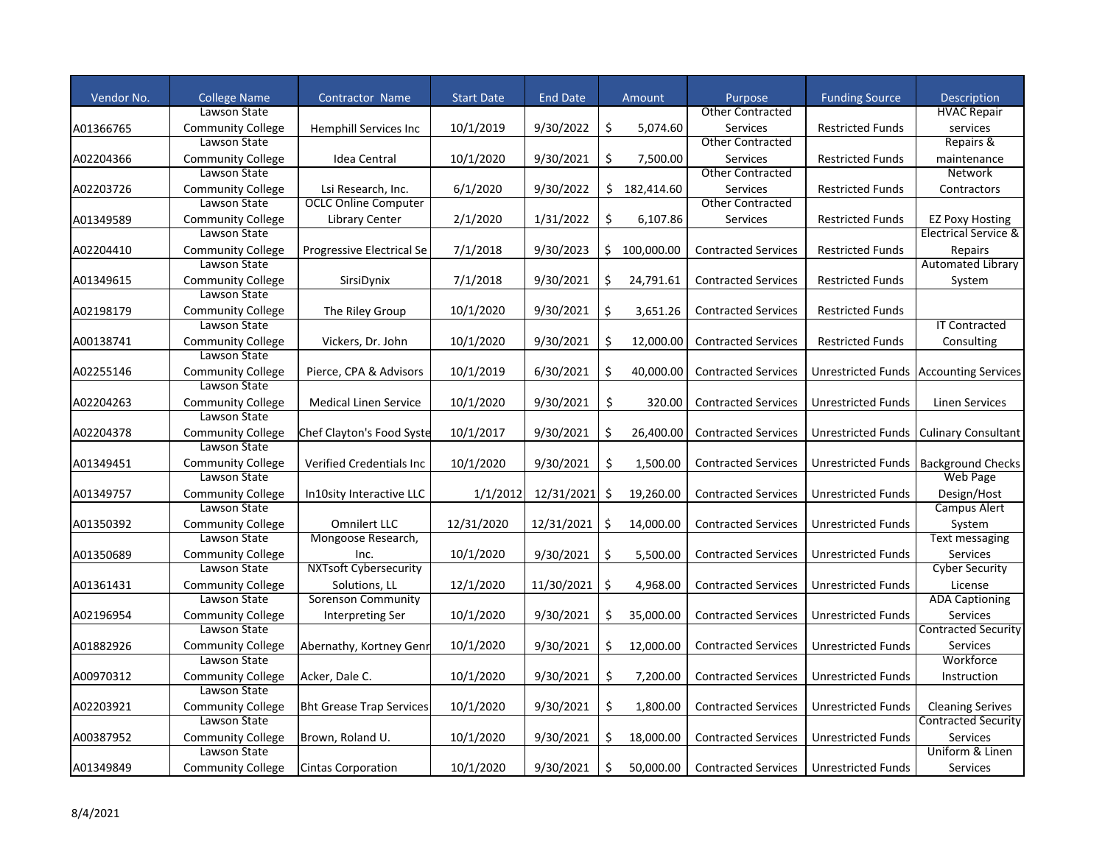| Vendor No. | <b>College Name</b>      | <b>Contractor Name</b>          | <b>Start Date</b> | <b>End Date</b> |    | Amount       | Purpose                    | <b>Funding Source</b>     | <b>Description</b>                       |
|------------|--------------------------|---------------------------------|-------------------|-----------------|----|--------------|----------------------------|---------------------------|------------------------------------------|
|            | Lawson State             |                                 |                   |                 |    |              | <b>Other Contracted</b>    |                           | <b>HVAC Repair</b>                       |
| A01366765  | <b>Community College</b> | Hemphill Services Inc           | 10/1/2019         | 9/30/2022       | \$ | 5,074.60     | <b>Services</b>            | <b>Restricted Funds</b>   | services                                 |
|            | Lawson State             |                                 |                   |                 |    |              | <b>Other Contracted</b>    |                           | Repairs &                                |
| A02204366  | <b>Community College</b> | Idea Central                    | 10/1/2020         | 9/30/2021       | \$ | 7,500.00     | Services                   | <b>Restricted Funds</b>   | maintenance                              |
|            | Lawson State             |                                 |                   |                 |    |              | <b>Other Contracted</b>    |                           | Network                                  |
| A02203726  | <b>Community College</b> | Lsi Research, Inc.              | 6/1/2020          | 9/30/2022       |    | \$182,414.60 | <b>Services</b>            | <b>Restricted Funds</b>   | Contractors                              |
|            | Lawson State             | <b>OCLC Online Computer</b>     |                   |                 |    |              | <b>Other Contracted</b>    |                           |                                          |
| A01349589  | <b>Community College</b> | <b>Library Center</b>           | 2/1/2020          | 1/31/2022       | \$ | 6,107.86     | Services                   | <b>Restricted Funds</b>   | <b>EZ Poxy Hosting</b>                   |
|            | Lawson State             |                                 |                   |                 |    |              |                            |                           | <b>Electrical Service &amp;</b>          |
| A02204410  | <b>Community College</b> | Progressive Electrical Se       | 7/1/2018          | 9/30/2023       | Ś. | 100,000.00   | <b>Contracted Services</b> | <b>Restricted Funds</b>   | Repairs                                  |
|            | Lawson State             |                                 |                   |                 |    |              |                            |                           | <b>Automated Library</b>                 |
| A01349615  | <b>Community College</b> | SirsiDynix                      | 7/1/2018          | 9/30/2021       | \$ | 24,791.61    | <b>Contracted Services</b> | <b>Restricted Funds</b>   | System                                   |
|            | Lawson State             |                                 |                   |                 |    |              |                            |                           |                                          |
| A02198179  | <b>Community College</b> | The Riley Group                 | 10/1/2020         | 9/30/2021       | \$ | 3,651.26     | <b>Contracted Services</b> | <b>Restricted Funds</b>   |                                          |
|            | Lawson State             |                                 |                   |                 |    |              |                            |                           | <b>IT Contracted</b>                     |
| A00138741  | <b>Community College</b> | Vickers, Dr. John               | 10/1/2020         | 9/30/2021       | Ś. | 12,000.00    | <b>Contracted Services</b> | <b>Restricted Funds</b>   | Consulting                               |
|            | Lawson State             |                                 |                   |                 |    |              |                            |                           |                                          |
| A02255146  | <b>Community College</b> | Pierce, CPA & Advisors          | 10/1/2019         | 6/30/2021       | Ś. | 40,000.00    | <b>Contracted Services</b> |                           | Unrestricted Funds   Accounting Services |
|            | Lawson State             |                                 |                   |                 |    |              |                            |                           |                                          |
| A02204263  | <b>Community College</b> | <b>Medical Linen Service</b>    | 10/1/2020         | 9/30/2021       | \$ | 320.00       | <b>Contracted Services</b> | <b>Unrestricted Funds</b> | <b>Linen Services</b>                    |
|            | Lawson State             |                                 |                   |                 |    |              |                            |                           |                                          |
| A02204378  | <b>Community College</b> | Chef Clayton's Food Syste       | 10/1/2017         | 9/30/2021       | \$ | 26,400.00    | <b>Contracted Services</b> | Unrestricted Funds        | <b>Culinary Consultant</b>               |
|            | Lawson State             |                                 |                   |                 |    |              |                            |                           |                                          |
| A01349451  | <b>Community College</b> | Verified Credentials Inc        | 10/1/2020         | 9/30/2021       | \$ | 1,500.00     | <b>Contracted Services</b> | Unrestricted Funds        | <b>Background Checks</b>                 |
|            | Lawson State             |                                 |                   |                 |    |              |                            |                           | Web Page                                 |
| A01349757  | <b>Community College</b> | In10sity Interactive LLC        | 1/1/2012          | 12/31/2021      | \$ | 19,260.00    | <b>Contracted Services</b> | <b>Unrestricted Funds</b> | Design/Host                              |
|            | Lawson State             |                                 |                   |                 |    |              |                            |                           | Campus Alert                             |
| A01350392  | <b>Community College</b> | Omnilert LLC                    | 12/31/2020        | 12/31/2021      | \$ | 14,000.00    | <b>Contracted Services</b> | Unrestricted Funds        | System                                   |
|            | Lawson State             | Mongoose Research,              |                   |                 |    |              |                            |                           | Text messaging                           |
| A01350689  | <b>Community College</b> | Inc.                            | 10/1/2020         | 9/30/2021       | \$ | 5,500.00     | <b>Contracted Services</b> | <b>Unrestricted Funds</b> | Services                                 |
|            | Lawson State             | <b>NXTsoft Cybersecurity</b>    |                   |                 |    |              |                            |                           | <b>Cyber Security</b>                    |
| A01361431  | <b>Community College</b> | Solutions, LL                   | 12/1/2020         | 11/30/2021      | \$ | 4,968.00     | <b>Contracted Services</b> | Unrestricted Funds        | License                                  |
|            | Lawson State             | <b>Sorenson Community</b>       |                   |                 |    |              |                            |                           | <b>ADA Captioning</b>                    |
| A02196954  | <b>Community College</b> | <b>Interpreting Ser</b>         | 10/1/2020         | 9/30/2021       | Ś. | 35,000.00    | <b>Contracted Services</b> | <b>Unrestricted Funds</b> | <b>Services</b>                          |
|            | Lawson State             |                                 |                   |                 |    |              |                            |                           | <b>Contracted Security</b>               |
| A01882926  | <b>Community College</b> | Abernathy, Kortney Genr         | 10/1/2020         | 9/30/2021       | \$ | 12,000.00    | <b>Contracted Services</b> | Unrestricted Funds        | Services                                 |
|            | Lawson State             |                                 |                   |                 |    |              |                            |                           | Workforce                                |
| A00970312  | <b>Community College</b> | Acker, Dale C.                  | 10/1/2020         | 9/30/2021       | \$ | 7,200.00     | <b>Contracted Services</b> | <b>Unrestricted Funds</b> | Instruction                              |
|            | Lawson State             |                                 |                   |                 |    |              |                            |                           |                                          |
| A02203921  | <b>Community College</b> | <b>Bht Grease Trap Services</b> | 10/1/2020         | 9/30/2021       | \$ | 1,800.00     | <b>Contracted Services</b> | <b>Unrestricted Funds</b> | <b>Cleaning Serives</b>                  |
|            | Lawson State             |                                 |                   |                 |    |              |                            |                           | <b>Contracted Security</b>               |
| A00387952  | <b>Community College</b> | Brown, Roland U.                | 10/1/2020         | 9/30/2021       | Ś. | 18,000.00    | <b>Contracted Services</b> | <b>Unrestricted Funds</b> | <b>Services</b>                          |
|            | Lawson State             |                                 |                   |                 |    |              |                            |                           | Uniform & Linen                          |
| A01349849  | <b>Community College</b> | <b>Cintas Corporation</b>       | 10/1/2020         | 9/30/2021       | \$ | 50,000.00    | <b>Contracted Services</b> | Unrestricted Funds        | Services                                 |